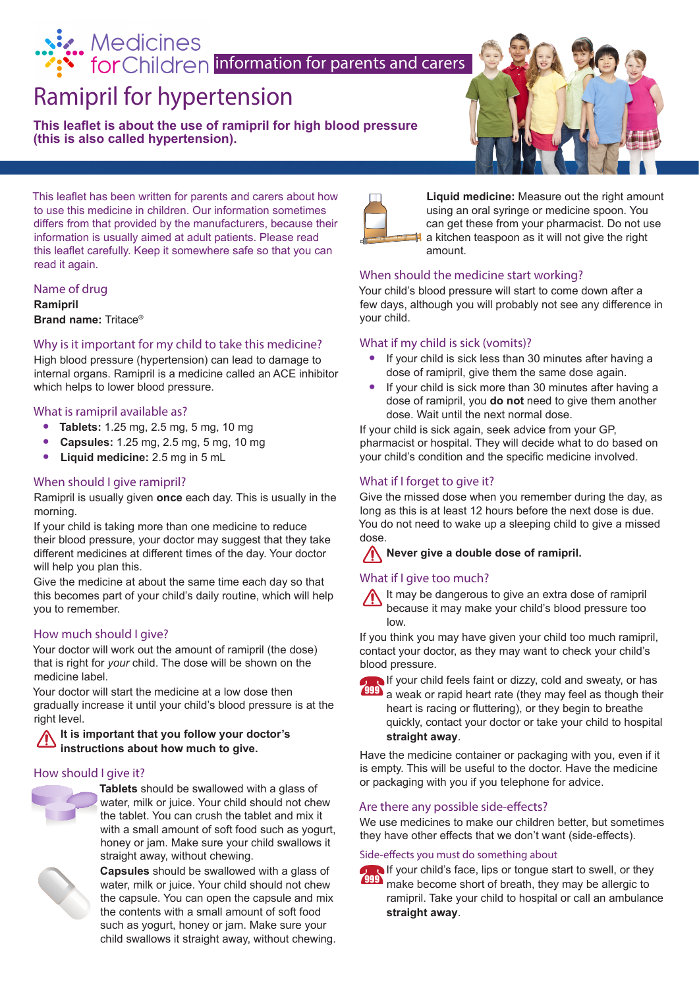# Medicines<br> **information for parents and carers**<br> **information for parents and carers**

## Ramipril for hypertension

**This leaflet is about the use of ramipril for high blood pressure (this is also called hypertension).**



This leaflet has been written for parents and carers about how to use this medicine in children. Our information sometimes differs from that provided by the manufacturers, because their information is usually aimed at adult patients. Please read this leaflet carefully. Keep it somewhere safe so that you can read it again.

#### Name of drug **Ramipril**

**Brand name:** Tritace®

#### Why is it important for my child to take this medicine?

High blood pressure (hypertension) can lead to damage to internal organs. Ramipril is a medicine called an ACE inhibitor which helps to lower blood pressure.

#### What is ramipril available as?

- **• Tablets:** 1.25 mg, 2.5 mg, 5 mg, 10 mg
- **• Capsules:** 1.25 mg, 2.5 mg, 5 mg, 10 mg
- **• Liquid medicine:** 2.5 mg in 5 mL

#### When should I give ramipril?

Ramipril is usually given **once** each day. This is usually in the morning.

If your child is taking more than one medicine to reduce their blood pressure, your doctor may suggest that they take different medicines at different times of the day. Your doctor will help you plan this.

Give the medicine at about the same time each day so that this becomes part of your child's daily routine, which will help you to remember.

#### How much should I give?

Your doctor will work out the amount of ramipril (the dose) that is right for *your* child. The dose will be shown on the medicine label.

Your doctor will start the medicine at a low dose then gradually increase it until your child's blood pressure is at the right level.

#### **It is important that you follow your doctor's instructions about how much to give.**

#### How should I give it?



**Tablets** should be swallowed with a glass of water, milk or juice. Your child should not chew the tablet. You can crush the tablet and mix it with a small amount of soft food such as yogurt. honey or jam. Make sure your child swallows it straight away, without chewing.



**Capsules** should be swallowed with a glass of water, milk or juice. Your child should not chew the capsule. You can open the capsule and mix the contents with a small amount of soft food such as yogurt, honey or jam. Make sure your child swallows it straight away, without chewing.



**Liquid medicine:** Measure out the right amount using an oral syringe or medicine spoon. You can get these from your pharmacist. Do not use a kitchen teaspoon as it will not give the right amount.

#### When should the medicine start working?

Your child's blood pressure will start to come down after a few days, although you will probably not see any difference in your child.

#### What if my child is sick (vomits)?

- **•** If your child is sick less than 30 minutes after having a dose of ramipril, give them the same dose again.
- **•** If your child is sick more than 30 minutes after having a dose of ramipril, you **do not** need to give them another dose. Wait until the next normal dose.

If your child is sick again, seek advice from your GP, pharmacist or hospital. They will decide what to do based on your child's condition and the specific medicine involved.

#### What if I forget to give it?

Give the missed dose when you remember during the day, as long as this is at least 12 hours before the next dose is due. You do not need to wake up a sleeping child to give a missed dose.

#### **Never give a double dose of ramipril.**

#### What if I give too much?



If you think you may have given your child too much ramipril, contact your doctor, as they may want to check your child's blood pressure.

If your child feels faint or dizzy, cold and sweaty, or has  $\frac{999}{2}$  a weak or rapid heart rate (they may feel as though their heart is racing or fluttering), or they begin to breathe quickly, contact your doctor or take your child to hospital **straight away**.

Have the medicine container or packaging with you, even if it is empty. This will be useful to the doctor. Have the medicine or packaging with you if you telephone for advice.

#### Are there any possible side-effects?

We use medicines to make our children better, but sometimes they have other effects that we don't want (side-effects).

#### Side-effects you must do something about



If your child's face, lips or tongue start to swell, or they make become short of breath, they may be allergic to ramipril. Take your child to hospital or call an ambulance **straight away**. 999